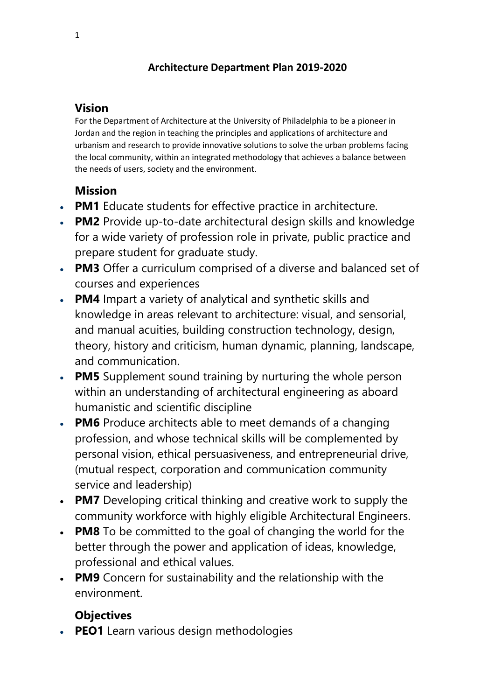## **Architecture Department Plan 2019-2020**

## **Vision**

For the Department of Architecture at the University of Philadelphia to be a pioneer in Jordan and the region in teaching the principles and applications of architecture and urbanism and research to provide innovative solutions to solve the urban problems facing the local community, within an integrated methodology that achieves a balance between the needs of users, society and the environment.

# **Mission**

- **PM1** Educate students for effective practice in architecture.
- **PM2** Provide up-to-date architectural design skills and knowledge for a wide variety of profession role in private, public practice and prepare student for graduate study.
- **PM3** Offer a curriculum comprised of a diverse and balanced set of courses and experiences
- **PM4** Impart a variety of analytical and synthetic skills and knowledge in areas relevant to architecture: visual, and sensorial, and manual acuities, building construction technology, design, theory, history and criticism, human dynamic, planning, landscape, and communication.
- **PM5** Supplement sound training by nurturing the whole person within an understanding of architectural engineering as aboard humanistic and scientific discipline
- **PM6** Produce architects able to meet demands of a changing profession, and whose technical skills will be complemented by personal vision, ethical persuasiveness, and entrepreneurial drive, (mutual respect, corporation and communication community service and leadership)
- **PM7** Developing critical thinking and creative work to supply the community workforce with highly eligible Architectural Engineers.
- **PM8** To be committed to the goal of changing the world for the better through the power and application of ideas, knowledge, professional and ethical values.
- **PM9** Concern for sustainability and the relationship with the environment.

# **Objectives**

**PEO1** Learn various design methodologies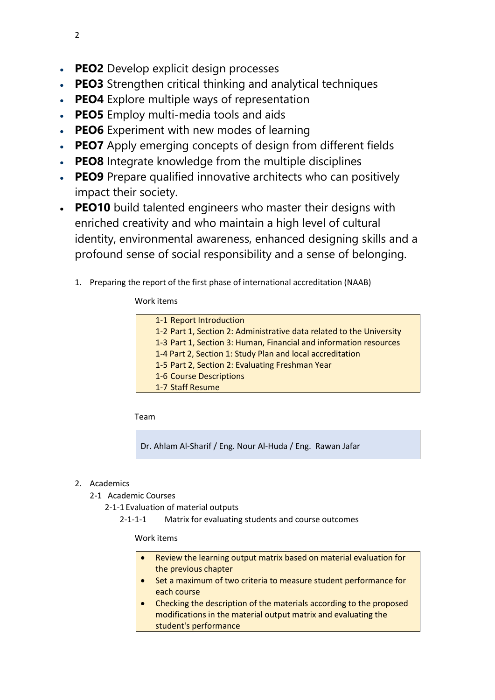- **PEO2** Develop explicit design processes
- **PEO3** Strengthen critical thinking and analytical techniques
- **PEO4** Explore multiple ways of representation
- **PEO5** Employ multi-media tools and aids
- **PEO6** Experiment with new modes of learning
- **PEO7** Apply emerging concepts of design from different fields
- **PEO8** Integrate knowledge from the multiple disciplines
- **PEO9** Prepare qualified innovative architects who can positively impact their society.
- **PEO10** build talented engineers who master their designs with enriched creativity and who maintain a high level of cultural identity, environmental awareness, enhanced designing skills and a profound sense of social responsibility and a sense of belonging.
	- 1. Preparing the report of the first phase of international accreditation (NAAB)

### Work items

| 1-1 Report Introduction                                              |
|----------------------------------------------------------------------|
| 1-2 Part 1, Section 2: Administrative data related to the University |
| 1-3 Part 1, Section 3: Human, Financial and information resources    |
| 1-4 Part 2, Section 1: Study Plan and local accreditation            |
| 1-5 Part 2, Section 2: Evaluating Freshman Year                      |
| 1-6 Course Descriptions                                              |
| 1-7 Staff Resume                                                     |
|                                                                      |

Team

Dr. Ahlam Al-Sharif / Eng. Nour Al-Huda / Eng. Rawan Jafar

## 2. Academics

- 2-1 Academic Courses
	- 2-1-1 Evaluation of material outputs
		- 2-1-1-1 Matrix for evaluating students and course outcomes

### Work items

- Review the learning output matrix based on material evaluation for the previous chapter
- Set a maximum of two criteria to measure student performance for each course
- Checking the description of the materials according to the proposed modifications in the material output matrix and evaluating the student's performance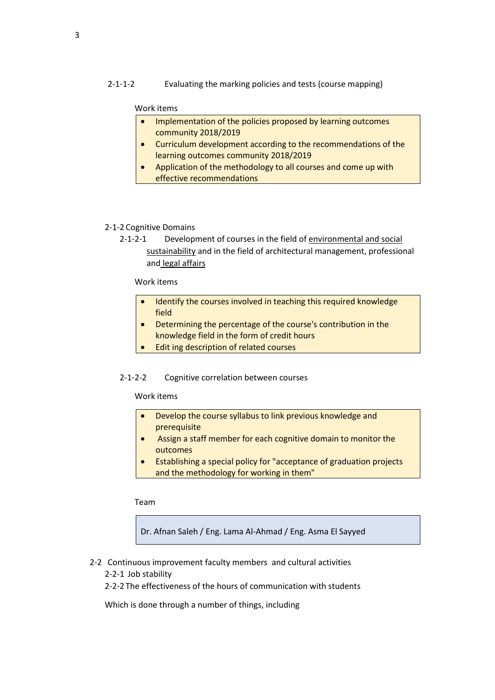2-1-1-2 Evaluating the marking policies and tests (course mapping)

#### Work items

- Implementation of the policies proposed by learning outcomes community 2018/2019
- Curriculum development according to the recommendations of the learning outcomes community 2018/2019
- Application of the methodology to all courses and come up with effective recommendations

#### 2-1-2 Cognitive Domains

2-1-2-1 Development of courses in the field of environmental and social sustainability and in the field of architectural management, professional and legal affairs

#### Work items

- Identify the courses involved in teaching this required knowledge field
- Determining the percentage of the course's contribution in the knowledge field in the form of credit hours
- Edit ing description of related courses

#### 2-1-2-2 Cognitive correlation between courses

#### Work items

- Develop the course syllabus to link previous knowledge and prerequisite
- Assign a staff member for each cognitive domain to monitor the outcomes
- Establishing a special policy for "acceptance of graduation projects and the methodology for working in them"

Team

Dr. Afnan Saleh / Eng. Lama Al-Ahmad / Eng. Asma El Sayyed

- 2-2 Continuous improvement faculty members and cultural activities
	- 2-2-1 Job stability
	- 2-2-2 The effectiveness of the hours of communication with students

Which is done through a number of things, including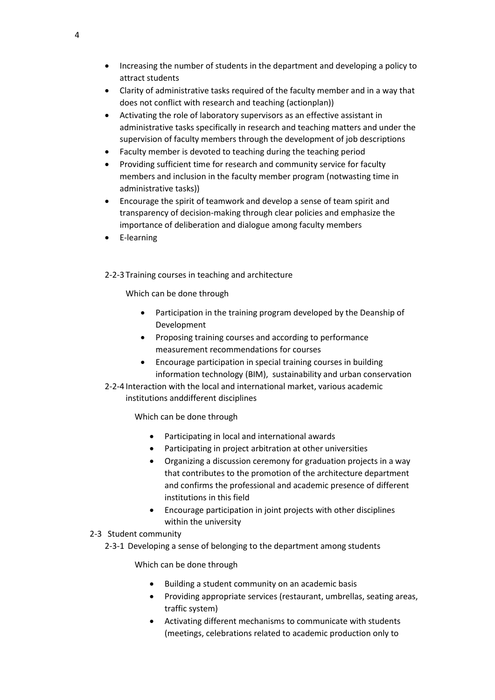- Increasing the number of students in the department and developing a policy to attract students
- Clarity of administrative tasks required of the faculty member and in a way that does not conflict with research and teaching (actionplan))
- Activating the role of laboratory supervisors as an effective assistant in administrative tasks specifically in research and teaching matters and under the supervision of faculty members through the development of job descriptions
- Faculty member is devoted to teaching during the teaching period
- Providing sufficient time for research and community service for faculty members and inclusion in the faculty member program (notwasting time in administrative tasks))
- Encourage the spirit of teamwork and develop a sense of team spirit and transparency of decision-making through clear policies and emphasize the importance of deliberation and dialogue among faculty members
- E-learning
- 2-2-3 Training courses in teaching and architecture

Which can be done through

- Participation in the training program developed by the Deanship of Development
- Proposing training courses and according to performance measurement recommendations for courses
- Encourage participation in special training courses in building information technology (BIM), sustainability and urban conservation
- 2-2-4 Interaction with the local and international market, various academic institutions anddifferent disciplines

Which can be done through

- Participating in local and international awards
- Participating in project arbitration at other universities
- Organizing a discussion ceremony for graduation projects in a way that contributes to the promotion of the architecture department and confirms the professional and academic presence of different institutions in this field
- Encourage participation in joint projects with other disciplines within the university

#### 2-3 Student community

2-3-1 Developing a sense of belonging to the department among students

Which can be done through

- Building a student community on an academic basis
- Providing appropriate services (restaurant, umbrellas, seating areas, traffic system)
- Activating different mechanisms to communicate with students (meetings, celebrations related to academic production only to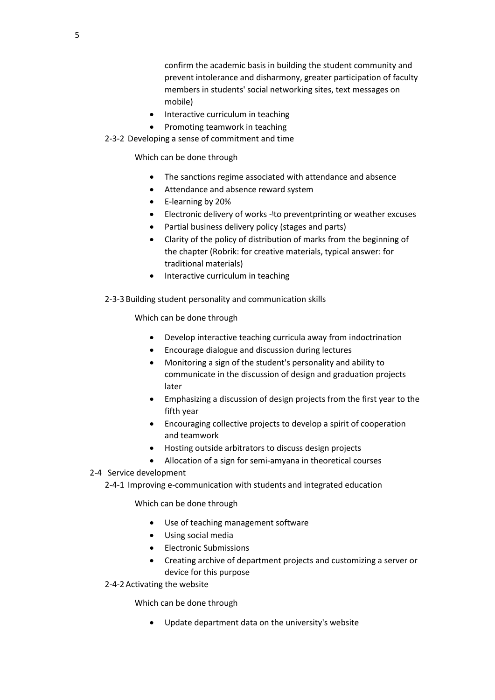confirm the academic basis in building the student community and prevent intolerance and disharmony, greater participation of faculty members in students' social networking sites, text messages on mobile)

- Interactive curriculum in teaching
- Promoting teamwork in teaching

2-3-2 Developing a sense of commitment and time

Which can be done through

- The sanctions regime associated with attendance and absence
- Attendance and absence reward system
- E-learning by 20%
- Electronic delivery of works -اto preventprinting or weather excuses
- Partial business delivery policy (stages and parts)
- Clarity of the policy of distribution of marks from the beginning of the chapter (Robrik: for creative materials, typical answer: for traditional materials)
- Interactive curriculum in teaching
- 2-3-3 Building student personality and communication skills

Which can be done through

- Develop interactive teaching curricula away from indoctrination
- Encourage dialogue and discussion during lectures
- Monitoring a sign of the student's personality and ability to communicate in the discussion of design and graduation projects later
- Emphasizing a discussion of design projects from the first year to the fifth year
- Encouraging collective projects to develop a spirit of cooperation and teamwork
- Hosting outside arbitrators to discuss design projects
- Allocation of a sign for semi-amyana in theoretical courses

#### 2-4 Service development

2-4-1 Improving e-communication with students and integrated education

Which can be done through

- Use of teaching management software
- Using social media
- **•** Electronic Submissions
- Creating archive of department projects and customizing a server or device for this purpose
- 2-4-2 Activating the website

Which can be done through

Update department data on the university's website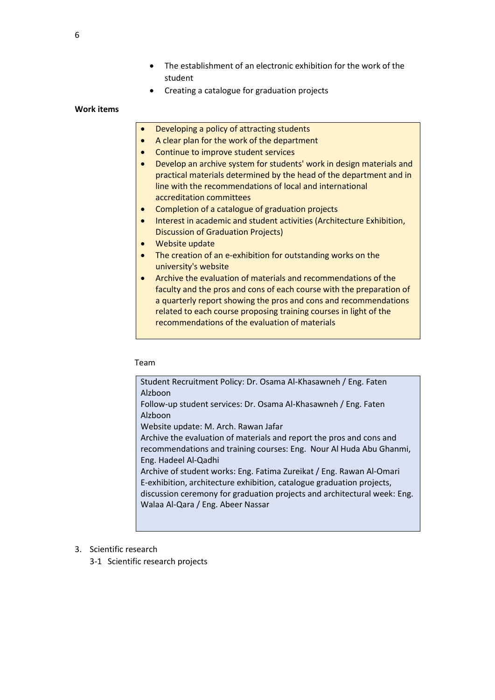- The establishment of an electronic exhibition for the work of the student
- Creating a catalogue for graduation projects

#### **Work items**

- Developing a policy of attracting students
- A clear plan for the work of the department
- Continue to improve student services
- Develop an archive system for students' work in design materials and practical materials determined by the head of the department and in line with the recommendations of local and international accreditation committees
- Completion of a catalogue of graduation projects
- Interest in academic and student activities (Architecture Exhibition, Discussion of Graduation Projects)
- Website update
- The creation of an e-exhibition for outstanding works on the university's website
- Archive the evaluation of materials and recommendations of the faculty and the pros and cons of each course with the preparation of a quarterly report showing the pros and cons and recommendations related to each course proposing training courses in light of the recommendations of the evaluation of materials

#### Team

Student Recruitment Policy: Dr. Osama Al-Khasawneh / Eng. Faten Alzboon Follow-up student services: Dr. Osama Al-Khasawneh / Eng. Faten Alzboon Website update: M. Arch. Rawan Jafar Archive the evaluation of materials and report the pros and cons and recommendations and training courses: Eng. Nour Al Huda Abu Ghanmi, Eng. Hadeel Al-Qadhi Archive of student works: Eng. Fatima Zureikat / Eng. Rawan Al-Omari E-exhibition, architecture exhibition, catalogue graduation projects, discussion ceremony for graduation projects and architectural week: Eng. Walaa Al-Qara / Eng. Abeer Nassar

- 3. Scientific research
	- 3-1 Scientific research projects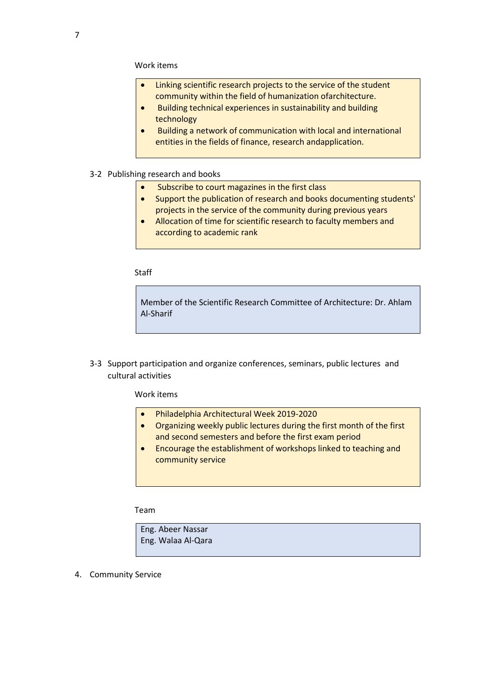- Linking scientific research projects to the service of the student community within the field of humanization ofarchitecture.
- Building technical experiences in sustainability and building technology
- Building a network of communication with local and international entities in the fields of finance, research andapplication.
- 3-2 Publishing research and books
	- Subscribe to court magazines in the first class
	- Support the publication of research and books documenting students' projects in the service of the community during previous years
	- Allocation of time for scientific research to faculty members and according to academic rank

**Staff** 

Member of the Scientific Research Committee of Architecture: Dr. Ahlam Al-Sharif

3-3 Support participation and organize conferences, seminars, public lectures and cultural activities

Work items

- Philadelphia Architectural Week 2019-2020
- Organizing weekly public lectures during the first month of the first and second semesters and before the first exam period
- Encourage the establishment of workshops linked to teaching and community service

Team

Eng. Abeer Nassar Eng. Walaa Al-Qara

4. Community Service